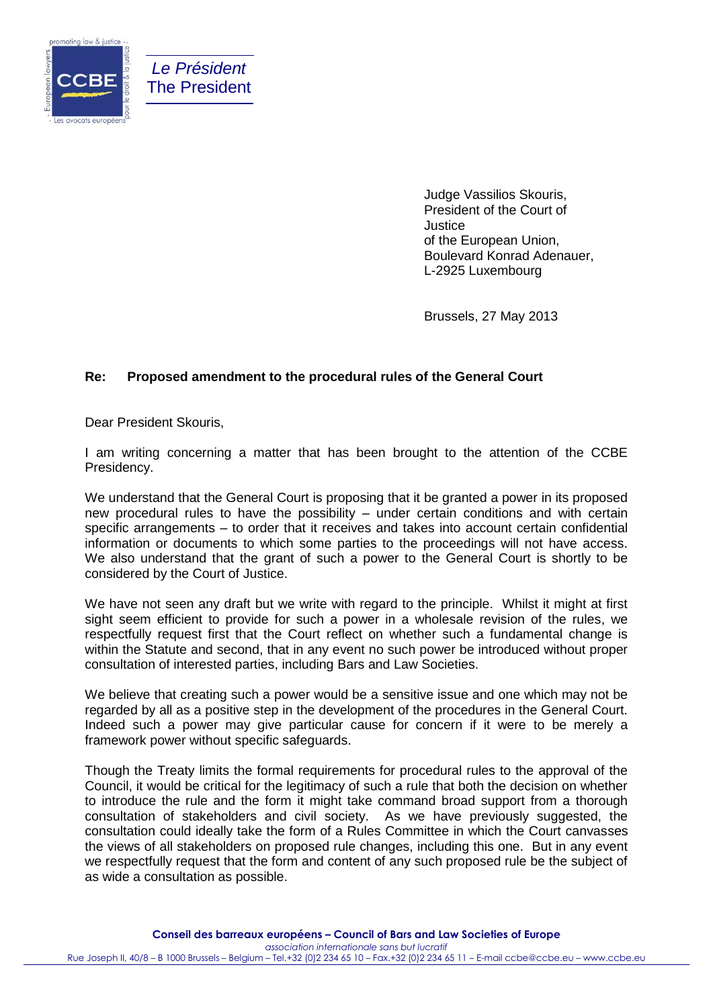

Judge Vassilios Skouris, President of the Court of Justice of the European Union, Boulevard Konrad Adenauer, L-2925 Luxembourg

Brussels, 27 May 2013

## **Re: Proposed amendment to the procedural rules of the General Court**

Dear President Skouris,

I am writing concerning a matter that has been brought to the attention of the CCBE Presidency.

We understand that the General Court is proposing that it be granted a power in its proposed new procedural rules to have the possibility – under certain conditions and with certain specific arrangements – to order that it receives and takes into account certain confidential information or documents to which some parties to the proceedings will not have access. We also understand that the grant of such a power to the General Court is shortly to be considered by the Court of Justice.

We have not seen any draft but we write with regard to the principle. Whilst it might at first sight seem efficient to provide for such a power in a wholesale revision of the rules, we respectfully request first that the Court reflect on whether such a fundamental change is within the Statute and second, that in any event no such power be introduced without proper consultation of interested parties, including Bars and Law Societies.

We believe that creating such a power would be a sensitive issue and one which may not be regarded by all as a positive step in the development of the procedures in the General Court. Indeed such a power may give particular cause for concern if it were to be merely a framework power without specific safeguards.

Though the Treaty limits the formal requirements for procedural rules to the approval of the Council, it would be critical for the legitimacy of such a rule that both the decision on whether to introduce the rule and the form it might take command broad support from a thorough consultation of stakeholders and civil society. As we have previously suggested, the consultation could ideally take the form of a Rules Committee in which the Court canvasses the views of all stakeholders on proposed rule changes, including this one. But in any event we respectfully request that the form and content of any such proposed rule be the subject of as wide a consultation as possible.